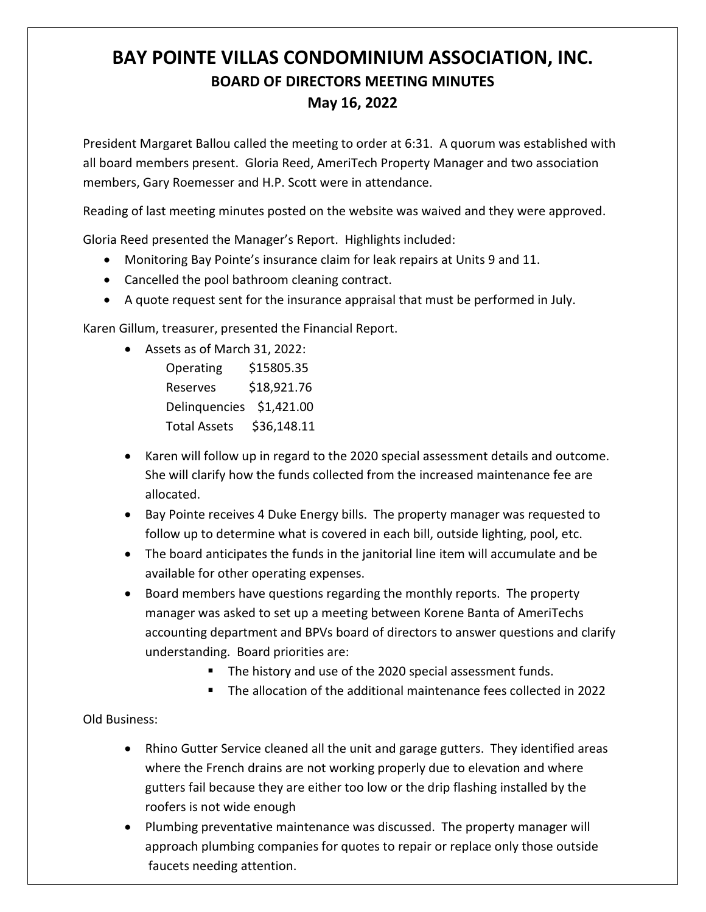## **BAY POINTE VILLAS CONDOMINIUM ASSOCIATION, INC. BOARD OF DIRECTORS MEETING MINUTES May 16, 2022**

President Margaret Ballou called the meeting to order at 6:31. A quorum was established with all board members present. Gloria Reed, AmeriTech Property Manager and two association members, Gary Roemesser and H.P. Scott were in attendance.

Reading of last meeting minutes posted on the website was waived and they were approved.

Gloria Reed presented the Manager's Report. Highlights included:

- Monitoring Bay Pointe's insurance claim for leak repairs at Units 9 and 11.
- Cancelled the pool bathroom cleaning contract.
- A quote request sent for the insurance appraisal that must be performed in July.

Karen Gillum, treasurer, presented the Financial Report.

• Assets as of March 31, 2022:

Operating \$15805.35 Reserves \$18,921.76 Delinquencies \$1,421.00 Total Assets \$36,148.11

- Karen will follow up in regard to the 2020 special assessment details and outcome. She will clarify how the funds collected from the increased maintenance fee are allocated.
- Bay Pointe receives 4 Duke Energy bills. The property manager was requested to follow up to determine what is covered in each bill, outside lighting, pool, etc.
- The board anticipates the funds in the janitorial line item will accumulate and be available for other operating expenses.
- Board members have questions regarding the monthly reports. The property manager was asked to set up a meeting between Korene Banta of AmeriTechs accounting department and BPVs board of directors to answer questions and clarify understanding. Board priorities are:
	- The history and use of the 2020 special assessment funds.
	- The allocation of the additional maintenance fees collected in 2022

## Old Business:

- Rhino Gutter Service cleaned all the unit and garage gutters. They identified areas where the French drains are not working properly due to elevation and where gutters fail because they are either too low or the drip flashing installed by the roofers is not wide enough
- Plumbing preventative maintenance was discussed. The property manager will approach plumbing companies for quotes to repair or replace only those outside faucets needing attention.